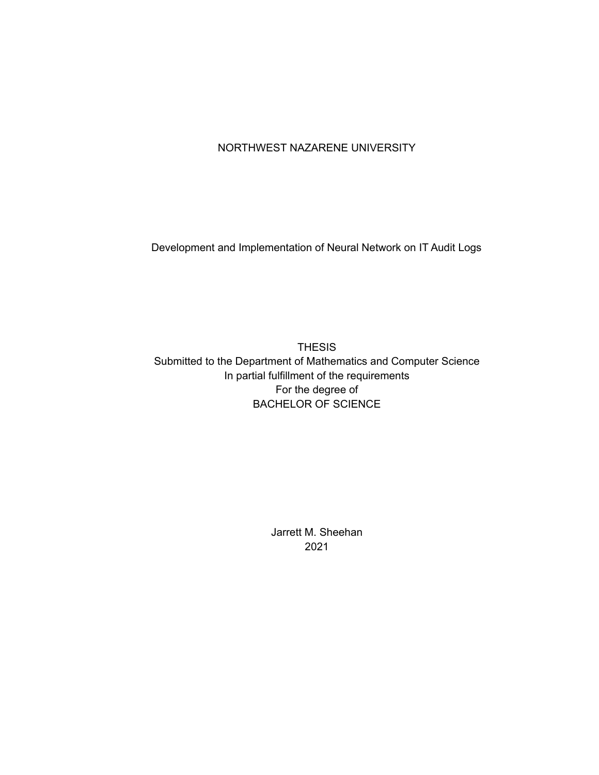# NORTHWEST NAZARENE UNIVERSITY

Development and Implementation of Neural Network on IT Audit Logs

**THESIS** Submitted to the Department of Mathematics and Computer Science In partial fulfillment of the requirements For the degree of **BACHELOR OF SCIENCE** 

> Jarrett M. Sheehan 2021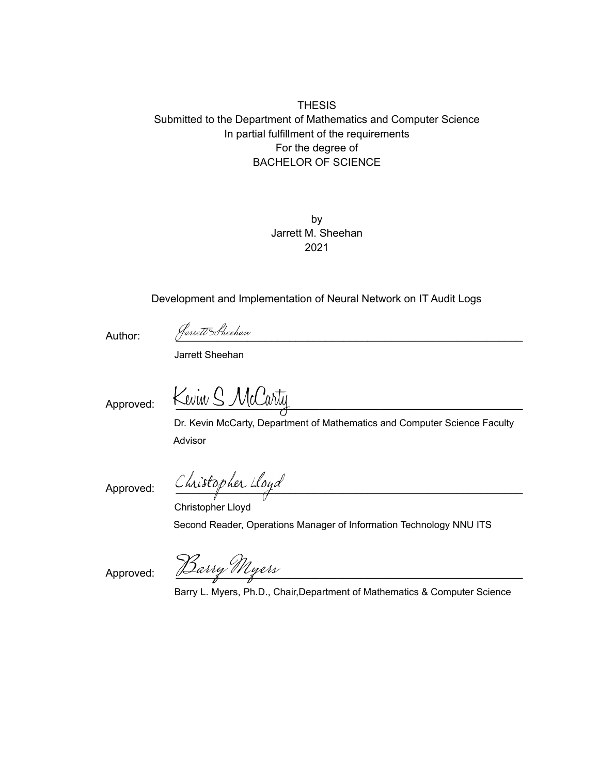# **THESIS** Submitted to the Department of Mathematics and Computer Science In partial fulfillment of the requirements For the degree of **BACHELOR OF SCIENCE**

by Jarrett M. Sheehan 2021

Development and Implementation of Neural Network on IT Audit Logs

Author:

Jarrett Sheehan

Jarrett Sheehan

Approved:

Kwiw S

Dr. Kevin McCarty, Department of Mathematics and Computer Science Faculty Advisor

Approved:

Christopher Lloyd

Christopher Lloyd Second Reader, Operations Manager of Information Technology NNU ITS

Approved:

<u>Barry Myers</u>

Barry L. Myers, Ph.D., Chair, Department of Mathematics & Computer Science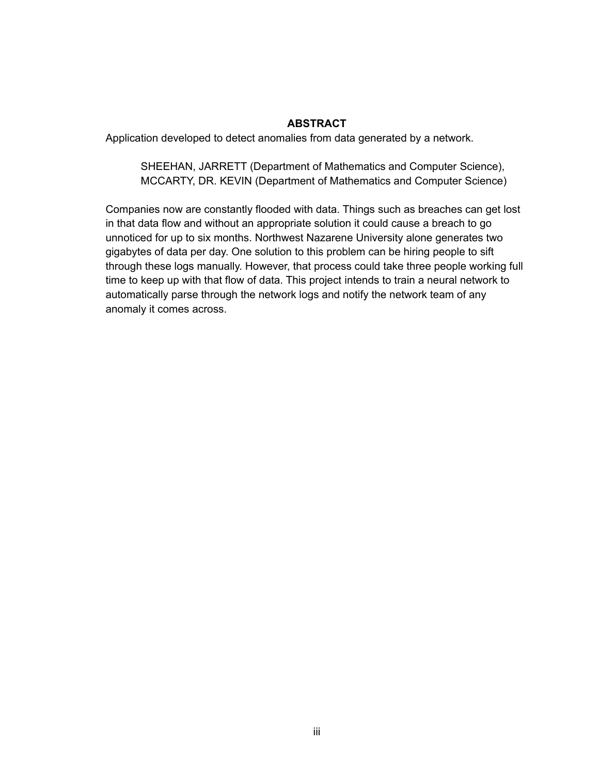## **ABSTRACT**

Application developed to detect anomalies from data generated by a network.

SHEEHAN, JARRETT (Department of Mathematics and Computer Science), MCCARTY, DR. KEVIN (Department of Mathematics and Computer Science)

Companies now are constantly flooded with data. Things such as breaches can get lost in that data flow and without an appropriate solution it could cause a breach to go unnoticed for up to six months. Northwest Nazarene University alone generates two gigabytes of data per day. One solution to this problem can be hiring people to sift through these logs manually. However, that process could take three people working full time to keep up with that flow of data. This project intends to train a neural network to automatically parse through the network logs and notify the network team of any anomaly it comes across.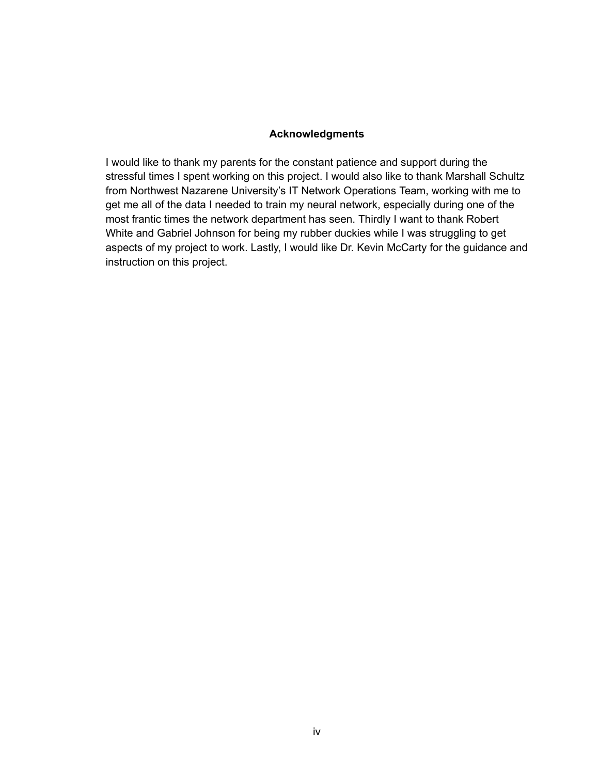### **Acknowledgments**

I would like to thank my parents for the constant patience and support during the stressful times I spent working on this project. I would also like to thank Marshall Schultz from Northwest Nazarene University's IT Network Operations Team, working with me to get me all of the data I needed to train my neural network, especially during one of the most frantic times the network department has seen. Thirdly I want to thank Robert White and Gabriel Johnson for being my rubber duckies while I was struggling to get aspects of my project to work. Lastly, I would like Dr. Kevin McCarty for the guidance and instruction on this project.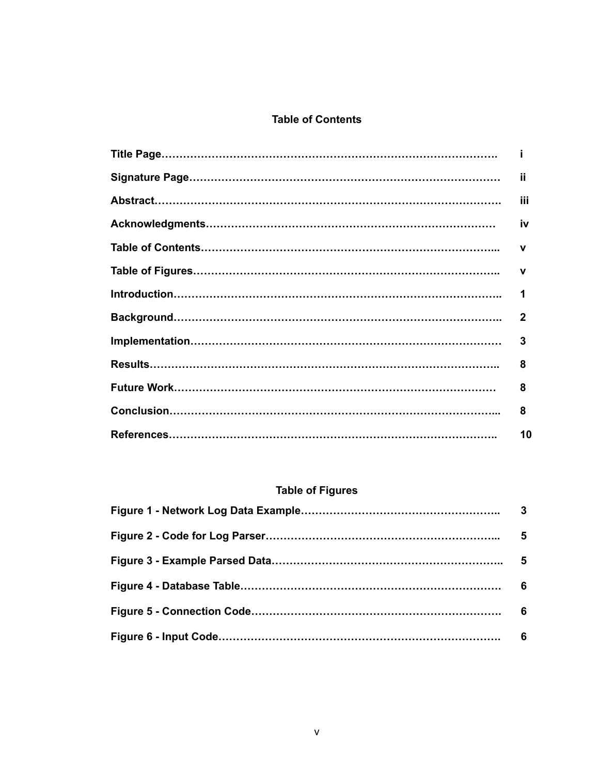# **Table of Contents**

| ii           |
|--------------|
| iii          |
| iv           |
| v            |
| v            |
| 1            |
| $\mathbf{2}$ |
| 3            |
| 8            |
| 8            |
| 8            |
| 10           |

# **Table of Figures**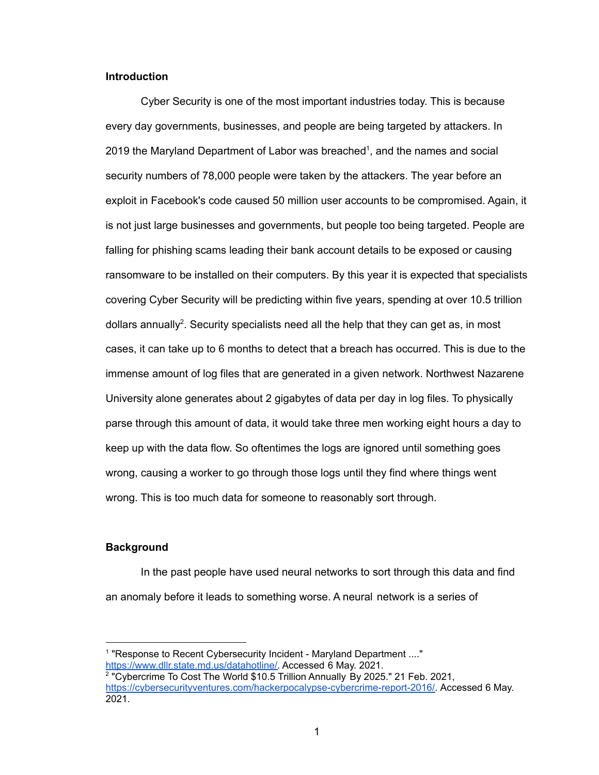#### **Introduction**

Cyber Security is one of the most important industries today. This is because every day governments, businesses, and people are being targeted by attackers. In 2019 the Maryland Department of Labor was breached<sup>1</sup>, and the names and social security numbers of 78,000 people were taken by the attackers. The year before an exploit in Facebook's code caused 50 million user accounts to be compromised. Again, it is not just large businesses and governments, but people too being targeted. People are falling for phishing scams leading their bank account details to be exposed or causing ransomware to be installed on their computers. By this year it is expected that specialists covering Cyber Security will be predicting within five years, spending at over 10.5 trillion dollars annually<sup>2</sup>. Security specialists need all the help that they can get as, in most cases, it can take up to 6 months to detect that a breach has occurred. This is due to the immense amount of log files that are generated in a given network. Northwest Nazarene University alone generates about 2 gigabytes of data per day in log files. To physically parse through this amount of data, it would take three men working eight hours a day to keep up with the data flow. So oftentimes the logs are ignored until something goes wrong, causing a worker to go through those logs until they find where things went wrong. This is too much data for someone to reasonably sort through.

#### **Background**

In the past people have used neural networks to sort through this data and find an anomaly before it leads to something worse. A neural network is a series of

<sup>&</sup>lt;sup>1</sup> "Response to Recent Cybersecurity Incident - Maryland Department ...." https://www.dllr.state.md.us/datahotline/. Accessed 6 May. 2021.

<sup>&</sup>lt;sup>2</sup> "Cybercrime To Cost The World \$10.5 Trillion Annually By 2025." 21 Feb. 2021, https://cybersecurityventures.com/hackerpocalypse-cybercrime-report-2016/. Accessed 6 May. 2021.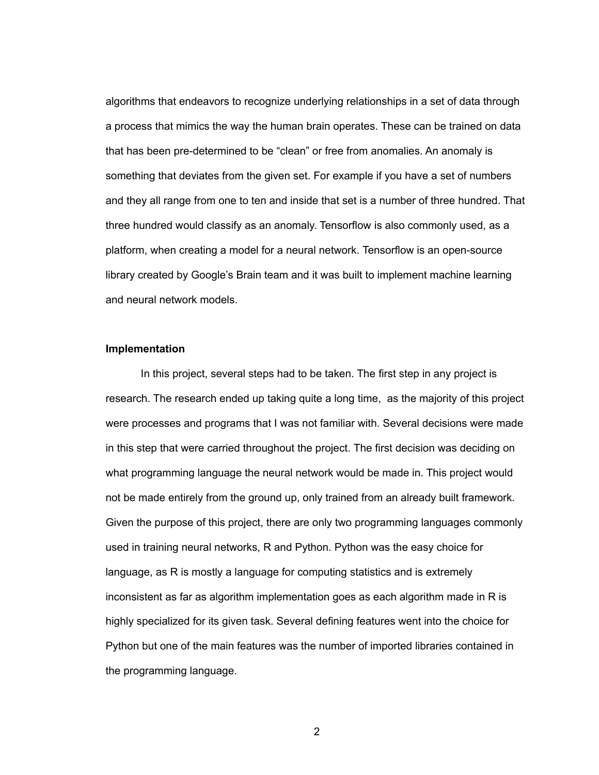algorithms that endeavors to recognize underlying relationships in a set of data through a process that mimics the way the human brain operates. These can be trained on data that has been pre-determined to be "clean" or free from anomalies. An anomaly is something that deviates from the given set. For example if you have a set of numbers and they all range from one to ten and inside that set is a number of three hundred. That three hundred would classify as an anomaly. Tensorflow is also commonly used, as a platform, when creating a model for a neural network. Tensorflow is an open-source library created by Google's Brain team and it was built to implement machine learning and neural network models.

#### Implementation

In this project, several steps had to be taken. The first step in any project is research. The research ended up taking quite a long time, as the majority of this project were processes and programs that I was not familiar with. Several decisions were made in this step that were carried throughout the project. The first decision was deciding on what programming language the neural network would be made in. This project would not be made entirely from the ground up, only trained from an already built framework. Given the purpose of this project, there are only two programming languages commonly used in training neural networks, R and Python. Python was the easy choice for language, as R is mostly a language for computing statistics and is extremely inconsistent as far as algorithm implementation goes as each algorithm made in R is highly specialized for its given task. Several defining features went into the choice for Python but one of the main features was the number of imported libraries contained in the programming language.

 $\overline{2}$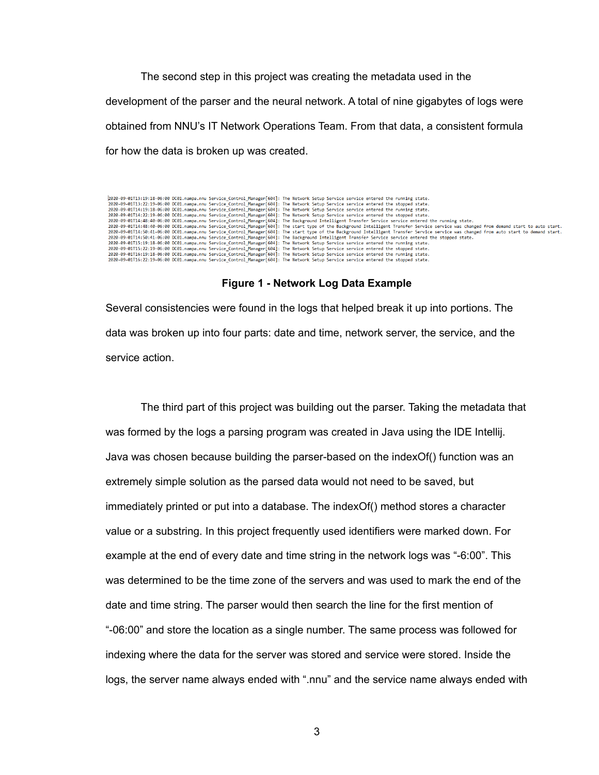The second step in this project was creating the metadata used in the development of the parser and the neural network. A total of nine gigabytes of logs were obtained from NNU's IT Network Operations Team. From that data, a consistent formula for how the data is broken up was created.



Several consistencies were found in the logs that helped break it up into portions. The data was broken up into four parts: date and time, network server, the service, and the service action.

The third part of this project was building out the parser. Taking the metadata that was formed by the logs a parsing program was created in Java using the IDE Intellij. Java was chosen because building the parser-based on the indexOf() function was an extremely simple solution as the parsed data would not need to be saved, but immediately printed or put into a database. The indexOf() method stores a character value or a substring. In this project frequently used identifiers were marked down. For example at the end of every date and time string in the network logs was "-6:00". This was determined to be the time zone of the servers and was used to mark the end of the date and time string. The parser would then search the line for the first mention of "-06:00" and store the location as a single number. The same process was followed for indexing where the data for the server was stored and service were stored. Inside the logs, the server name always ended with ".nnu" and the service name always ended with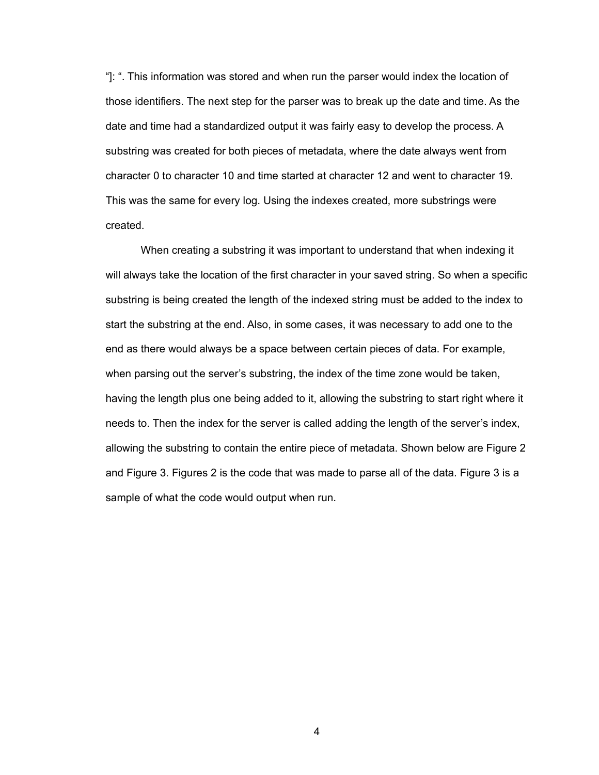"]: ". This information was stored and when run the parser would index the location of those identifiers. The next step for the parser was to break up the date and time. As the date and time had a standardized output it was fairly easy to develop the process. A substring was created for both pieces of metadata, where the date always went from character 0 to character 10 and time started at character 12 and went to character 19. This was the same for every log. Using the indexes created, more substrings were created.

When creating a substring it was important to understand that when indexing it will always take the location of the first character in your saved string. So when a specific substring is being created the length of the indexed string must be added to the index to start the substring at the end. Also, in some cases, it was necessary to add one to the end as there would always be a space between certain pieces of data. For example, when parsing out the server's substring, the index of the time zone would be taken, having the length plus one being added to it, allowing the substring to start right where it needs to. Then the index for the server is called adding the length of the server's index, allowing the substring to contain the entire piece of metadata. Shown below are Figure 2 and Figure 3. Figures 2 is the code that was made to parse all of the data. Figure 3 is a sample of what the code would output when run.

 $\overline{4}$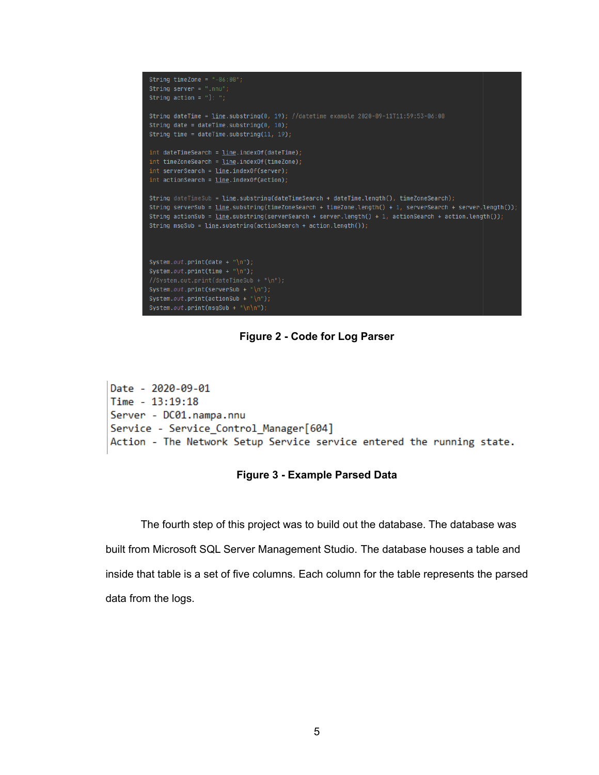

Figure 2 - Code for Log Parser

```
Date - 2020-09-01
Time - 13:19:18Server - DC01.nampa.nnu
Service - Service_Control_Manager[604]
Action - The Network Setup Service service entered the running state.
```
## **Figure 3 - Example Parsed Data**

The fourth step of this project was to build out the database. The database was built from Microsoft SQL Server Management Studio. The database houses a table and inside that table is a set of five columns. Each column for the table represents the parsed data from the logs.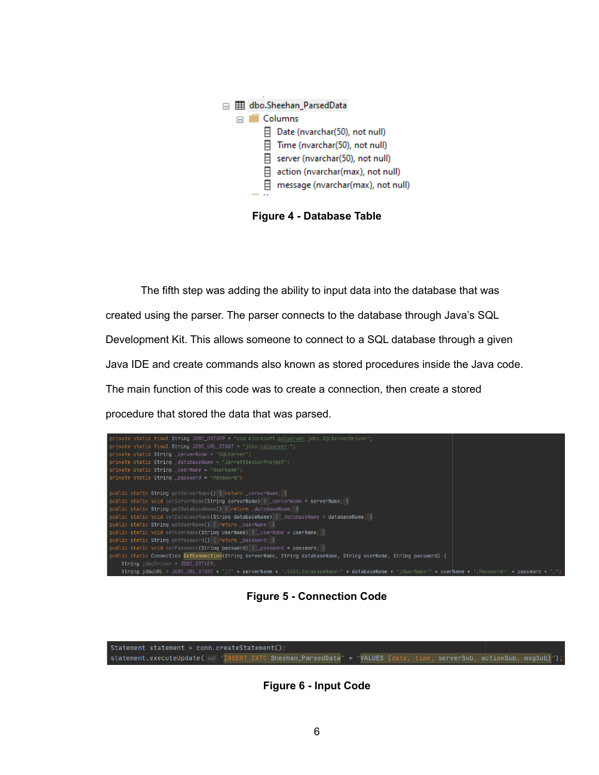

**Figure 4 - Database Table** 

The fifth step was adding the ability to input data into the database that was created using the parser. The parser connects to the database through Java's SQL Development Kit. This allows someone to connect to a SQL database through a given Java IDE and create commands also known as stored procedures inside the Java code. The main function of this code was to create a connection, then create a stored procedure that stored the data that was parsed.



**Figure 5 - Connection Code** 



**Figure 6 - Input Code**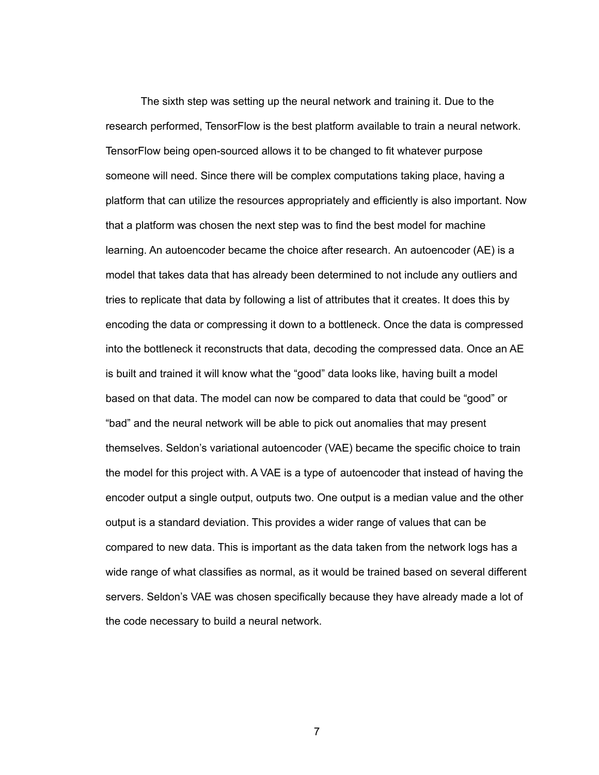The sixth step was setting up the neural network and training it. Due to the research performed, TensorFlow is the best platform available to train a neural network. TensorFlow being open-sourced allows it to be changed to fit whatever purpose someone will need. Since there will be complex computations taking place, having a platform that can utilize the resources appropriately and efficiently is also important. Now that a platform was chosen the next step was to find the best model for machine learning. An autoencoder became the choice after research. An autoencoder (AE) is a model that takes data that has already been determined to not include any outliers and tries to replicate that data by following a list of attributes that it creates. It does this by encoding the data or compressing it down to a bottleneck. Once the data is compressed into the bottleneck it reconstructs that data, decoding the compressed data. Once an AE is built and trained it will know what the "good" data looks like, having built a model based on that data. The model can now be compared to data that could be "good" or "bad" and the neural network will be able to pick out anomalies that may present themselves. Seldon's variational autoencoder (VAE) became the specific choice to train the model for this project with. A VAE is a type of autoencoder that instead of having the encoder output a single output, outputs two. One output is a median value and the other output is a standard deviation. This provides a wider range of values that can be compared to new data. This is important as the data taken from the network logs has a wide range of what classifies as normal, as it would be trained based on several different servers. Seldon's VAE was chosen specifically because they have already made a lot of the code necessary to build a neural network.

 $\overline{7}$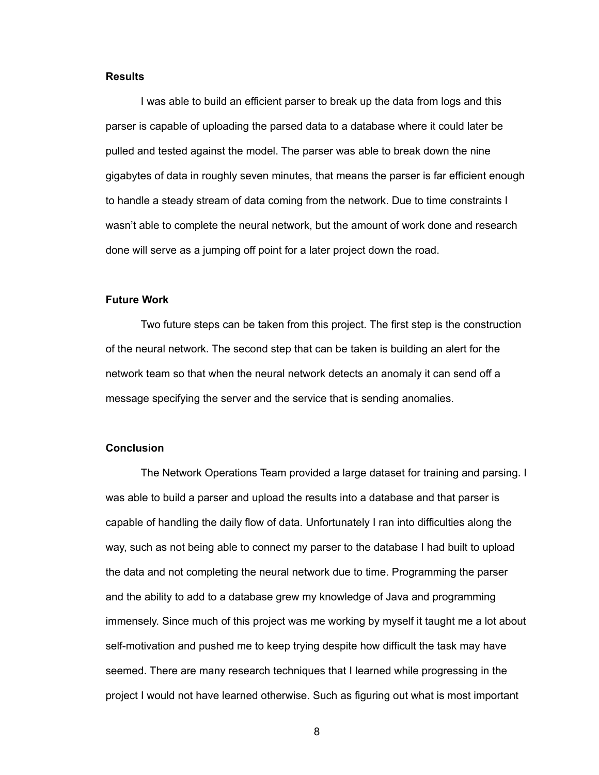#### **Results**

I was able to build an efficient parser to break up the data from logs and this parser is capable of uploading the parsed data to a database where it could later be pulled and tested against the model. The parser was able to break down the nine gigabytes of data in roughly seven minutes, that means the parser is far efficient enough to handle a steady stream of data coming from the network. Due to time constraints I wasn't able to complete the neural network, but the amount of work done and research done will serve as a jumping off point for a later project down the road.

#### **Future Work**

Two future steps can be taken from this project. The first step is the construction of the neural network. The second step that can be taken is building an alert for the network team so that when the neural network detects an anomaly it can send off a message specifying the server and the service that is sending anomalies.

#### **Conclusion**

The Network Operations Team provided a large dataset for training and parsing. I was able to build a parser and upload the results into a database and that parser is capable of handling the daily flow of data. Unfortunately I ran into difficulties along the way, such as not being able to connect my parser to the database I had built to upload the data and not completing the neural network due to time. Programming the parser and the ability to add to a database grew my knowledge of Java and programming immensely. Since much of this project was me working by myself it taught me a lot about self-motivation and pushed me to keep trying despite how difficult the task may have seemed. There are many research techniques that I learned while progressing in the project I would not have learned otherwise. Such as figuring out what is most important

8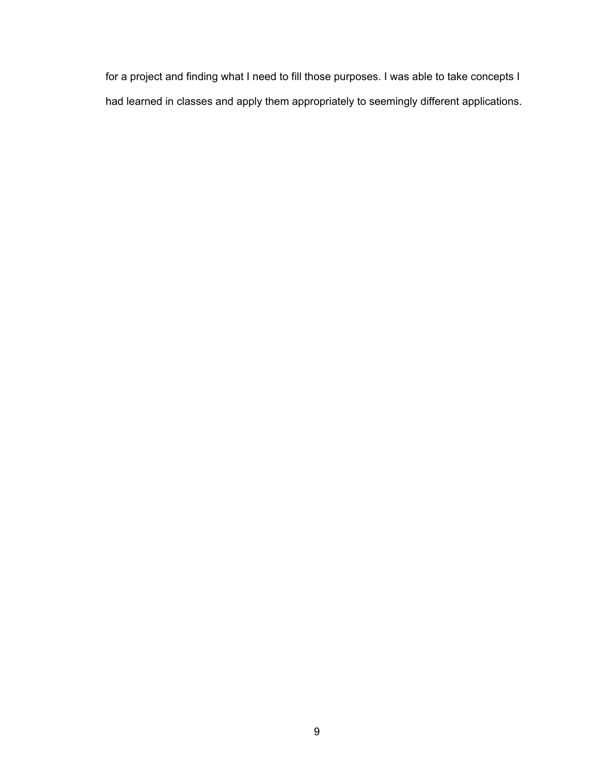for a project and finding what I need to fill those purposes. I was able to take concepts I had learned in classes and apply them appropriately to seemingly different applications.